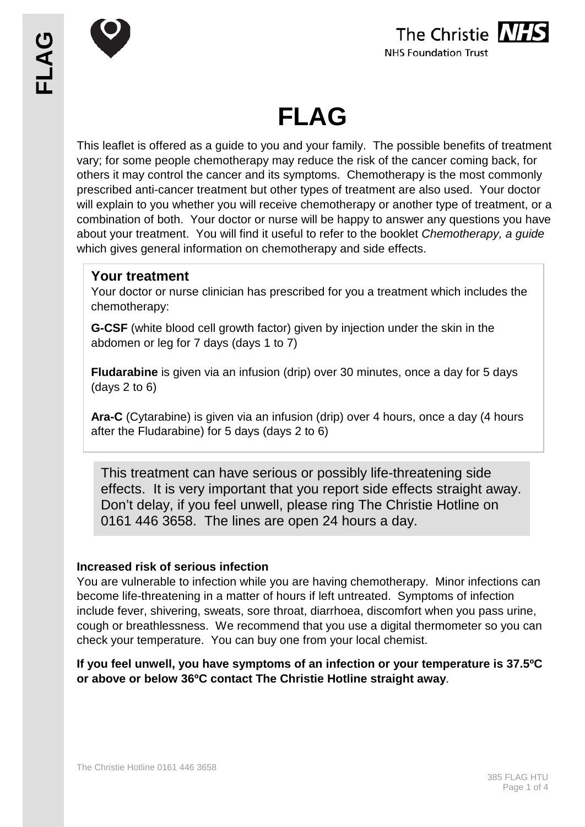



# **FLAG**

This leaflet is offered as a guide to you and your family. The possible benefits of treatment vary; for some people chemotherapy may reduce the risk of the cancer coming back, for others it may control the cancer and its symptoms. Chemotherapy is the most commonly prescribed anti-cancer treatment but other types of treatment are also used. Your doctor will explain to you whether you will receive chemotherapy or another type of treatment, or a combination of both. Your doctor or nurse will be happy to answer any questions you have about your treatment. You will find it useful to refer to the booklet *Chemotherapy, a guide* which gives general information on chemotherapy and side effects.

# **Your treatment**

Your doctor or nurse clinician has prescribed for you a treatment which includes the chemotherapy:

**G-CSF** (white blood cell growth factor) given by injection under the skin in the abdomen or leg for 7 days (days 1 to 7)

**Fludarabine** is given via an infusion (drip) over 30 minutes, once a day for 5 days (days 2 to 6)

**Ara-C** (Cytarabine) is given via an infusion (drip) over 4 hours, once a day (4 hours after the Fludarabine) for 5 days (days 2 to 6)

This treatment can have serious or possibly life-threatening side effects. It is very important that you report side effects straight away. Don't delay, if you feel unwell, please ring The Christie Hotline on 0161 446 3658. The lines are open 24 hours a day.

# **Increased risk of serious infection**

You are vulnerable to infection while you are having chemotherapy. Minor infections can become life-threatening in a matter of hours if left untreated. Symptoms of infection include fever, shivering, sweats, sore throat, diarrhoea, discomfort when you pass urine, cough or breathlessness. We recommend that you use a digital thermometer so you can check your temperature. You can buy one from your local chemist.

**If you feel unwell, you have symptoms of an infection or your temperature is 37.5ºC or above or below 36ºC contact The Christie Hotline straight away**.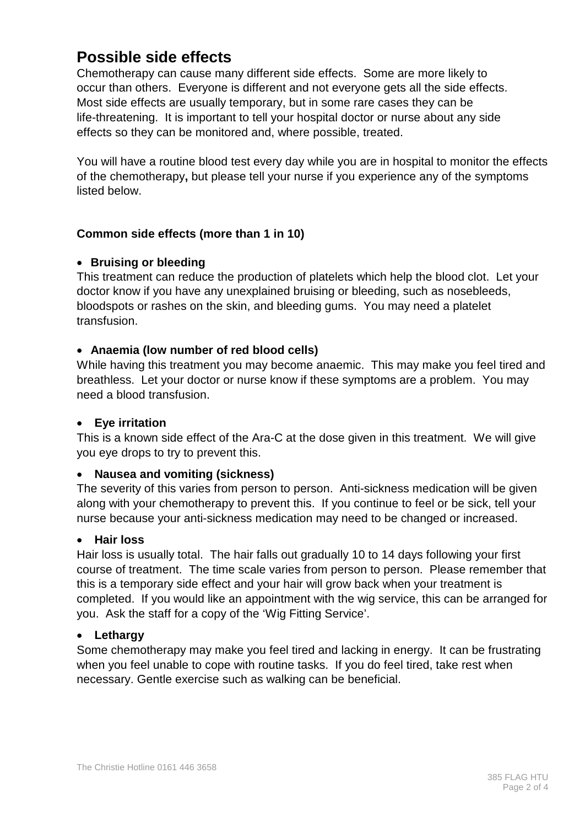# **Possible side effects**

Chemotherapy can cause many different side effects. Some are more likely to occur than others. Everyone is different and not everyone gets all the side effects. Most side effects are usually temporary, but in some rare cases they can be life-threatening. It is important to tell your hospital doctor or nurse about any side effects so they can be monitored and, where possible, treated.

You will have a routine blood test every day while you are in hospital to monitor the effects of the chemotherapy**,** but please tell your nurse if you experience any of the symptoms listed below.

# **Common side effects (more than 1 in 10)**

# • **Bruising or bleeding**

This treatment can reduce the production of platelets which help the blood clot. Let your doctor know if you have any unexplained bruising or bleeding, such as nosebleeds, bloodspots or rashes on the skin, and bleeding gums. You may need a platelet transfusion.

# • **Anaemia (low number of red blood cells)**

While having this treatment you may become anaemic. This may make you feel tired and breathless. Let your doctor or nurse know if these symptoms are a problem. You may need a blood transfusion.

# • **Eye irritation**

This is a known side effect of the Ara-C at the dose given in this treatment. We will give you eye drops to try to prevent this.

# • **Nausea and vomiting (sickness)**

The severity of this varies from person to person. Anti-sickness medication will be given along with your chemotherapy to prevent this. If you continue to feel or be sick, tell your nurse because your anti-sickness medication may need to be changed or increased.

# • **Hair loss**

Hair loss is usually total. The hair falls out gradually 10 to 14 days following your first course of treatment. The time scale varies from person to person. Please remember that this is a temporary side effect and your hair will grow back when your treatment is completed. If you would like an appointment with the wig service, this can be arranged for you. Ask the staff for a copy of the 'Wig Fitting Service'.

# • **Lethargy**

Some chemotherapy may make you feel tired and lacking in energy. It can be frustrating when you feel unable to cope with routine tasks. If you do feel tired, take rest when necessary. Gentle exercise such as walking can be beneficial.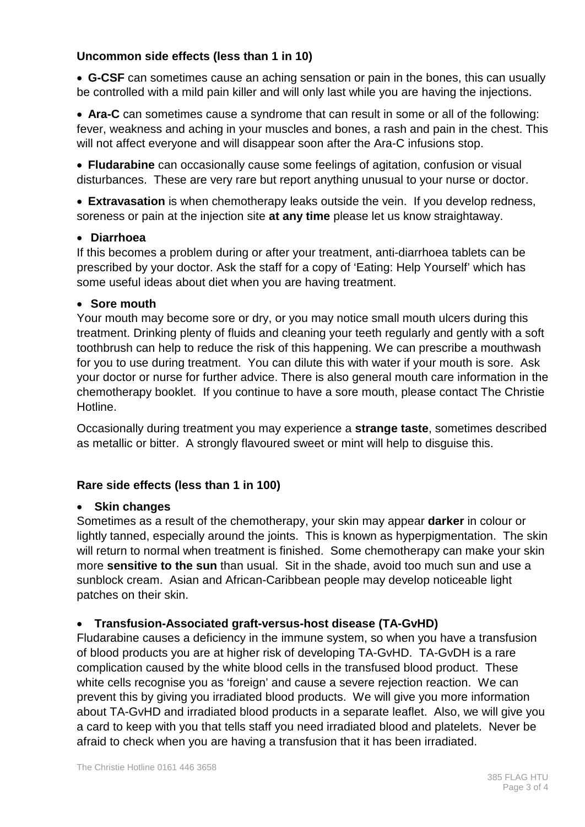# **Uncommon side effects (less than 1 in 10)**

• **G-CSF** can sometimes cause an aching sensation or pain in the bones, this can usually be controlled with a mild pain killer and will only last while you are having the injections.

• **Ara-C** can sometimes cause a syndrome that can result in some or all of the following: fever, weakness and aching in your muscles and bones, a rash and pain in the chest. This will not affect everyone and will disappear soon after the Ara-C infusions stop.

• **Fludarabine** can occasionally cause some feelings of agitation, confusion or visual disturbances. These are very rare but report anything unusual to your nurse or doctor.

• **Extravasation** is when chemotherapy leaks outside the vein. If you develop redness, soreness or pain at the injection site **at any time** please let us know straightaway.

#### • **Diarrhoea**

If this becomes a problem during or after your treatment, anti-diarrhoea tablets can be prescribed by your doctor. Ask the staff for a copy of 'Eating: Help Yourself' which has some useful ideas about diet when you are having treatment.

#### • **Sore mouth**

Your mouth may become sore or dry, or you may notice small mouth ulcers during this treatment. Drinking plenty of fluids and cleaning your teeth regularly and gently with a soft toothbrush can help to reduce the risk of this happening. We can prescribe a mouthwash for you to use during treatment. You can dilute this with water if your mouth is sore. Ask your doctor or nurse for further advice. There is also general mouth care information in the chemotherapy booklet. If you continue to have a sore mouth, please contact The Christie Hotline.

Occasionally during treatment you may experience a **strange taste**, sometimes described as metallic or bitter. A strongly flavoured sweet or mint will help to disguise this.

# **Rare side effects (less than 1 in 100)**

# • **Skin changes**

Sometimes as a result of the chemotherapy, your skin may appear **darker** in colour or lightly tanned, especially around the joints. This is known as hyperpigmentation. The skin will return to normal when treatment is finished. Some chemotherapy can make your skin more **sensitive to the sun** than usual. Sit in the shade, avoid too much sun and use a sunblock cream. Asian and African-Caribbean people may develop noticeable light patches on their skin.

# • **Transfusion-Associated graft-versus-host disease (TA-GvHD)**

Fludarabine causes a deficiency in the immune system, so when you have a transfusion of blood products you are at higher risk of developing TA-GvHD. TA-GvDH is a rare complication caused by the white blood cells in the transfused blood product. These white cells recognise you as 'foreign' and cause a severe rejection reaction. We can prevent this by giving you irradiated blood products. We will give you more information about TA-GvHD and irradiated blood products in a separate leaflet. Also, we will give you a card to keep with you that tells staff you need irradiated blood and platelets. Never be afraid to check when you are having a transfusion that it has been irradiated.